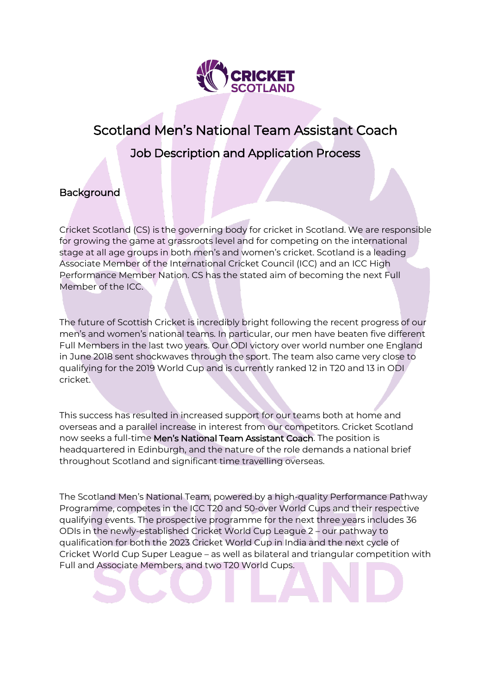

# Scotland Men's National Team Assistant Coach Job Description and Application Process

# **Background**

Cricket Scotland (CS) is the governing body for cricket in Scotland. We are responsible for growing the game at grassroots level and for competing on the international stage at all age groups in both men's and women's cricket. Scotland is a leading Associate Member of the International Cricket Council (ICC) and an ICC High Performance Member Nation. CS has the stated aim of becoming the next Full Member of the ICC.

The future of Scottish Cricket is incredibly bright following the recent progress of our men's and women's national teams. In particular, our men have beaten five different Full Members in the last two years. Our ODI victory over world number one England in June 2018 sent shockwaves through the sport. The team also came very close to qualifying for the 2019 World Cup and is currently ranked 12 in T20 and 13 in ODI cricket.

This success has resulted in increased support for our teams both at home and overseas and a parallel increase in interest from our competitors. Cricket Scotland now seeks a full-time Men's National Team Assistant Coach. The position is headquartered in Edinburgh, and the nature of the role demands a national brief throughout Scotland and significant time travelling overseas.

The Scotland Men's National Team, powered by a high-quality Performance Pathway Programme, competes in the ICC T20 and 50-over World Cups and their respective qualifying events. The prospective programme for the next three years includes 36 ODIs in the newly-established Cricket World Cup League 2 – our pathway to qualification for both the 2023 Cricket World Cup in India and the next cycle of Cricket World Cup Super League – as well as bilateral and triangular competition with Full and Associate Members, and two T20 World Cups.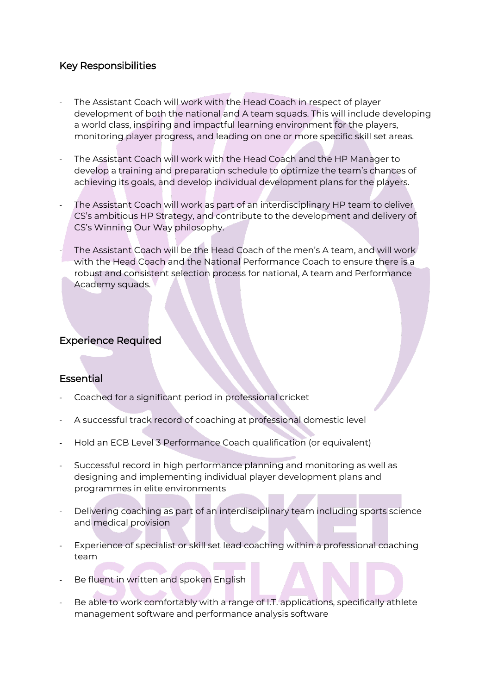# Key Responsibilities

- The Assistant Coach will work with the Head Coach in respect of player development of both the national and A team squads. This will include developing a world class, inspiring and impactful learning environment for the players, monitoring player progress, and leading on one or more specific skill set areas.
- The Assistant Coach will work with the Head Coach and the HP Manager to develop a training and preparation schedule to optimize the team's chances of achieving its goals, and develop individual development plans for the players.
- The Assistant Coach will work as part of an interdisciplinary HP team to deliver CS's ambitious HP Strategy, and contribute to the development and delivery of CS's Winning Our Way philosophy.
- The Assistant Coach will be the Head Coach of the men's A team, and will work with the Head Coach and the National Performance Coach to ensure there is a robust and consistent selection process for national, A team and Performance Academy squads.

# Experience Required

# **Essential**

- Coached for a significant period in professional cricket
- A successful track record of coaching at professional domestic level
- Hold an ECB Level 3 Performance Coach qualification (or equivalent)
- Successful record in high performance planning and monitoring as well as designing and implementing individual player development plans and programmes in elite environments
- Delivering coaching as part of an interdisciplinary team including sports science and medical provision
- Experience of specialist or skill set lead coaching within a professional coaching team
- Be fluent in written and spoken English
- Be able to work comfortably with a range of I.T. applications, specifically athlete management software and performance analysis software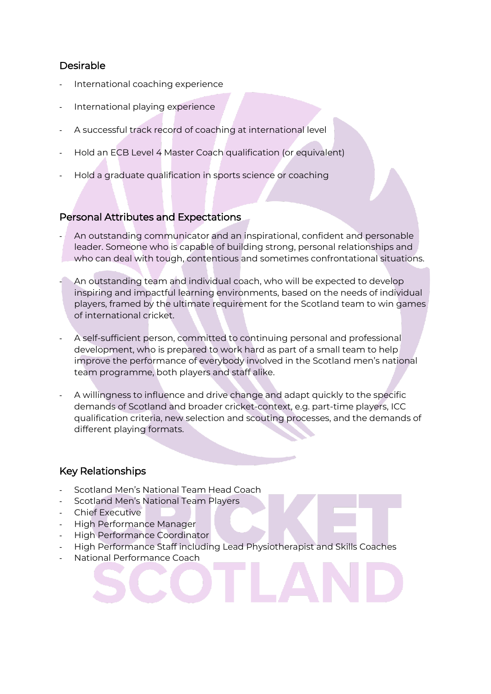# Desirable

- International coaching experience
- International playing experience
- A successful track record of coaching at international level
- Hold an ECB Level 4 Master Coach qualification (or equivalent)
- Hold a graduate qualification in sports science or coaching

### Personal Attributes and Expectations

- An outstanding communicator and an inspirational, confident and personable leader. Someone who is capable of building strong, personal relationships and who can deal with tough, contentious and sometimes confrontational situations.
- An outstanding team and individual coach, who will be expected to develop inspiring and impactful learning environments, based on the needs of individual players, framed by the ultimate requirement for the Scotland team to win games of international cricket.
- A self-sufficient person, committed to continuing personal and professional development, who is prepared to work hard as part of a small team to help improve the performance of everybody involved in the Scotland men's national team programme, both players and staff alike.
- A willingness to influence and drive change and adapt quickly to the specific demands of Scotland and broader cricket-context, e.g. part-time players, ICC qualification criteria, new selection and scouting processes, and the demands of different playing formats.

#### Key Relationships

- Scotland Men's National Team Head Coach
- Scotland Men's National Team Players
- Chief Executive
- High Performance Manager
- High Performance Coordinator
- High Performance Staff including Lead Physiotherapist and Skills Coaches
- National Performance Coach